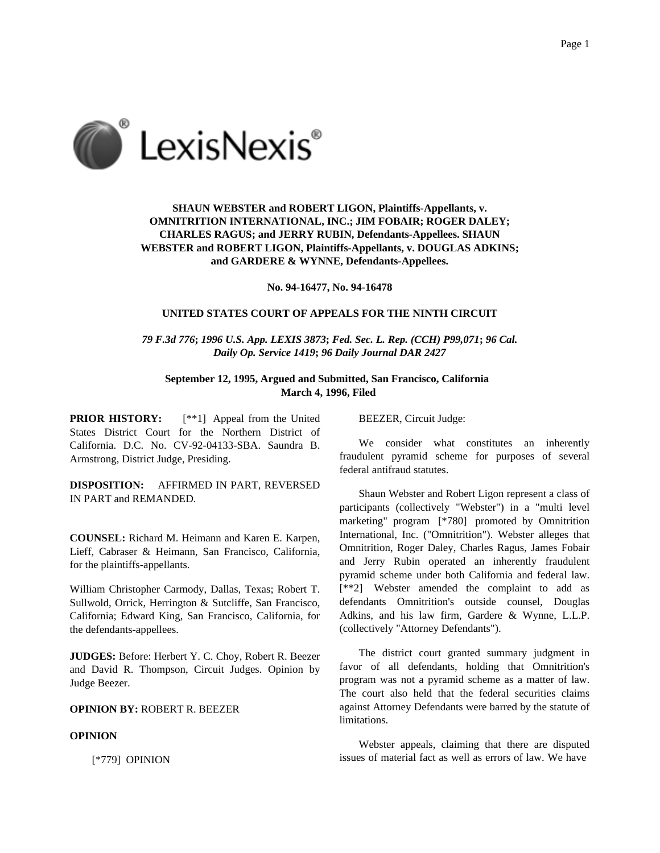

# **SHAUN WEBSTER and ROBERT LIGON, Plaintiffs-Appellants, v. OMNITRITION INTERNATIONAL, INC.; JIM FOBAIR; ROGER DALEY; CHARLES RAGUS; and JERRY RUBIN, Defendants-Appellees. SHAUN WEBSTER and ROBERT LIGON, Plaintiffs-Appellants, v. DOUGLAS ADKINS; and GARDERE & WYNNE, Defendants-Appellees.**

#### **No. 94-16477, No. 94-16478**

### **UNITED STATES COURT OF APPEALS FOR THE NINTH CIRCUIT**

*79 F.3d 776***;** *1996 U.S. App. LEXIS 3873***;** *Fed. Sec. L. Rep. (CCH) P99,071***;** *96 Cal. Daily Op. Service 1419***;** *96 Daily Journal DAR 2427*

## **September 12, 1995, Argued and Submitted, San Francisco, California March 4, 1996, Filed**

**PRIOR HISTORY:** [\*\*1] Appeal from the United States District Court for the Northern District of California. D.C. No. CV-92-04133-SBA. Saundra B. Armstrong, District Judge, Presiding.

**DISPOSITION:** AFFIRMED IN PART, REVERSED IN PART and REMANDED.

**COUNSEL:** Richard M. Heimann and Karen E. Karpen, Lieff, Cabraser & Heimann, San Francisco, California, for the plaintiffs-appellants.

William Christopher Carmody, Dallas, Texas; Robert T. Sullwold, Orrick, Herrington & Sutcliffe, San Francisco, California; Edward King, San Francisco, California, for the defendants-appellees.

**JUDGES:** Before: Herbert Y. C. Choy, Robert R. Beezer and David R. Thompson, Circuit Judges. Opinion by Judge Beezer.

### **OPINION BY:** ROBERT R. BEEZER

## **OPINION**

[\*779] OPINION

BEEZER, Circuit Judge:

We consider what constitutes an inherently fraudulent pyramid scheme for purposes of several federal antifraud statutes.

Shaun Webster and Robert Ligon represent a class of participants (collectively "Webster") in a "multi level marketing" program [\*780] promoted by Omnitrition International, Inc. ("Omnitrition"). Webster alleges that Omnitrition, Roger Daley, Charles Ragus, James Fobair and Jerry Rubin operated an inherently fraudulent pyramid scheme under both California and federal law. [\*\*2] Webster amended the complaint to add as defendants Omnitrition's outside counsel, Douglas Adkins, and his law firm, Gardere & Wynne, L.L.P. (collectively "Attorney Defendants").

The district court granted summary judgment in favor of all defendants, holding that Omnitrition's program was not a pyramid scheme as a matter of law. The court also held that the federal securities claims against Attorney Defendants were barred by the statute of limitations.

Webster appeals, claiming that there are disputed issues of material fact as well as errors of law. We have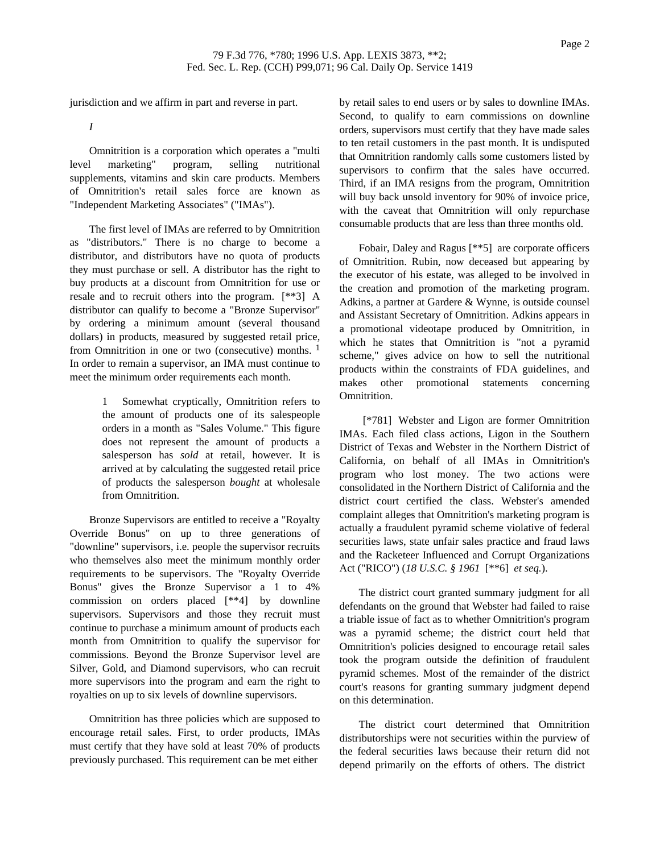jurisdiction and we affirm in part and reverse in part.

*I*

Omnitrition is a corporation which operates a "multi level marketing" program, selling nutritional supplements, vitamins and skin care products. Members of Omnitrition's retail sales force are known as "Independent Marketing Associates" ("IMAs").

The first level of IMAs are referred to by Omnitrition as "distributors." There is no charge to become a distributor, and distributors have no quota of products they must purchase or sell. A distributor has the right to buy products at a discount from Omnitrition for use or resale and to recruit others into the program. [\*\*3] A distributor can qualify to become a "Bronze Supervisor" by ordering a minimum amount (several thousand dollars) in products, measured by suggested retail price, from Omnitrition in one or two (consecutive) months. 1 In order to remain a supervisor, an IMA must continue to meet the minimum order requirements each month.

> 1 Somewhat cryptically, Omnitrition refers to the amount of products one of its salespeople orders in a month as "Sales Volume." This figure does not represent the amount of products a salesperson has *sold* at retail, however. It is arrived at by calculating the suggested retail price of products the salesperson *bought* at wholesale from Omnitrition.

Bronze Supervisors are entitled to receive a "Royalty Override Bonus" on up to three generations of "downline" supervisors, i.e. people the supervisor recruits who themselves also meet the minimum monthly order requirements to be supervisors. The "Royalty Override Bonus" gives the Bronze Supervisor a 1 to 4% commission on orders placed [\*\*4] by downline supervisors. Supervisors and those they recruit must continue to purchase a minimum amount of products each month from Omnitrition to qualify the supervisor for commissions. Beyond the Bronze Supervisor level are Silver, Gold, and Diamond supervisors, who can recruit more supervisors into the program and earn the right to royalties on up to six levels of downline supervisors.

Omnitrition has three policies which are supposed to encourage retail sales. First, to order products, IMAs must certify that they have sold at least 70% of products previously purchased. This requirement can be met either

by retail sales to end users or by sales to downline IMAs. Second, to qualify to earn commissions on downline orders, supervisors must certify that they have made sales to ten retail customers in the past month. It is undisputed that Omnitrition randomly calls some customers listed by supervisors to confirm that the sales have occurred. Third, if an IMA resigns from the program, Omnitrition will buy back unsold inventory for 90% of invoice price, with the caveat that Omnitrition will only repurchase consumable products that are less than three months old.

Fobair, Daley and Ragus [\*\*5] are corporate officers of Omnitrition. Rubin, now deceased but appearing by the executor of his estate, was alleged to be involved in the creation and promotion of the marketing program. Adkins, a partner at Gardere & Wynne, is outside counsel and Assistant Secretary of Omnitrition. Adkins appears in a promotional videotape produced by Omnitrition, in which he states that Omnitrition is "not a pyramid scheme," gives advice on how to sell the nutritional products within the constraints of FDA guidelines, and makes other promotional statements concerning Omnitrition.

[\*781] Webster and Ligon are former Omnitrition IMAs. Each filed class actions, Ligon in the Southern District of Texas and Webster in the Northern District of California, on behalf of all IMAs in Omnitrition's program who lost money. The two actions were consolidated in the Northern District of California and the district court certified the class. Webster's amended complaint alleges that Omnitrition's marketing program is actually a fraudulent pyramid scheme violative of federal securities laws, state unfair sales practice and fraud laws and the Racketeer Influenced and Corrupt Organizations Act ("RICO") (*18 U.S.C. § 1961* [\*\*6] *et seq.*).

The district court granted summary judgment for all defendants on the ground that Webster had failed to raise a triable issue of fact as to whether Omnitrition's program was a pyramid scheme; the district court held that Omnitrition's policies designed to encourage retail sales took the program outside the definition of fraudulent pyramid schemes. Most of the remainder of the district court's reasons for granting summary judgment depend on this determination.

The district court determined that Omnitrition distributorships were not securities within the purview of the federal securities laws because their return did not depend primarily on the efforts of others. The district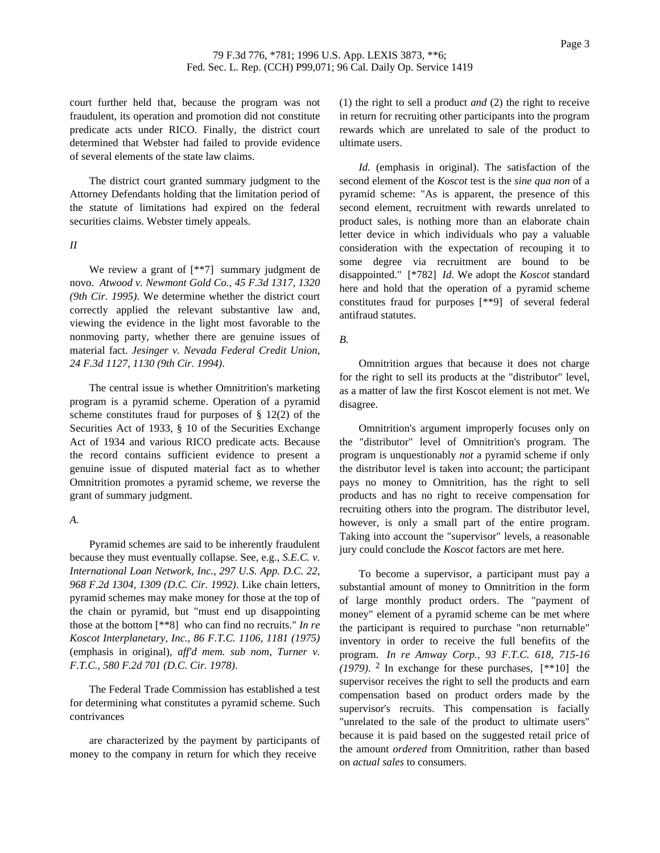court further held that, because the program was not fraudulent, its operation and promotion did not constitute predicate acts under RICO. Finally, the district court determined that Webster had failed to provide evidence of several elements of the state law claims.

The district court granted summary judgment to the Attorney Defendants holding that the limitation period of the statute of limitations had expired on the federal securities claims. Webster timely appeals.

*II*

We review a grant of  $[**7]$  summary judgment de novo. *Atwood v. Newmont Gold Co., 45 F.3d 1317, 1320 (9th Cir. 1995)*. We determine whether the district court correctly applied the relevant substantive law and, viewing the evidence in the light most favorable to the nonmoving party, whether there are genuine issues of material fact. *Jesinger v. Nevada Federal Credit Union, 24 F.3d 1127, 1130 (9th Cir. 1994)*.

The central issue is whether Omnitrition's marketing program is a pyramid scheme. Operation of a pyramid scheme constitutes fraud for purposes of  $\S$  12(2) of the Securities Act of 1933, § 10 of the Securities Exchange Act of 1934 and various RICO predicate acts. Because the record contains sufficient evidence to present a genuine issue of disputed material fact as to whether Omnitrition promotes a pyramid scheme, we reverse the grant of summary judgment.

## *A.*

Pyramid schemes are said to be inherently fraudulent because they must eventually collapse. See, e.g., *S.E.C. v. International Loan Network, Inc., 297 U.S. App. D.C. 22, 968 F.2d 1304, 1309 (D.C. Cir. 1992)*. Like chain letters, pyramid schemes may make money for those at the top of the chain or pyramid, but "must end up disappointing those at the bottom [\*\*8] who can find no recruits." *In re Koscot Interplanetary, Inc., 86 F.T.C. 1106, 1181 (1975)* (emphasis in original), *aff'd mem. sub nom, Turner v. F.T.C., 580 F.2d 701 (D.C. Cir. 1978)*.

The Federal Trade Commission has established a test for determining what constitutes a pyramid scheme. Such contrivances

are characterized by the payment by participants of money to the company in return for which they receive

(1) the right to sell a product *and* (2) the right to receive in return for recruiting other participants into the program rewards which are unrelated to sale of the product to ultimate users.

*Id.* (emphasis in original). The satisfaction of the second element of the *Koscot* test is the *sine qua non* of a pyramid scheme: "As is apparent, the presence of this second element, recruitment with rewards unrelated to product sales, is nothing more than an elaborate chain letter device in which individuals who pay a valuable consideration with the expectation of recouping it to some degree via recruitment are bound to be disappointed." [\*782] *Id.* We adopt the *Koscot* standard here and hold that the operation of a pyramid scheme constitutes fraud for purposes [\*\*9] of several federal antifraud statutes.

#### *B.*

Omnitrition argues that because it does not charge for the right to sell its products at the "distributor" level, as a matter of law the first Koscot element is not met. We disagree.

Omnitrition's argument improperly focuses only on the "distributor" level of Omnitrition's program. The program is unquestionably *not* a pyramid scheme if only the distributor level is taken into account; the participant pays no money to Omnitrition, has the right to sell products and has no right to receive compensation for recruiting others into the program. The distributor level, however, is only a small part of the entire program. Taking into account the "supervisor" levels, a reasonable jury could conclude the *Koscot* factors are met here.

To become a supervisor, a participant must pay a substantial amount of money to Omnitrition in the form of large monthly product orders. The "payment of money" element of a pyramid scheme can be met where the participant is required to purchase "non returnable" inventory in order to receive the full benefits of the program. *In re Amway Corp., 93 F.T.C. 618, 715-16 (1979)*. 2 In exchange for these purchases, [\*\*10] the supervisor receives the right to sell the products and earn compensation based on product orders made by the supervisor's recruits. This compensation is facially "unrelated to the sale of the product to ultimate users" because it is paid based on the suggested retail price of the amount *ordered* from Omnitrition, rather than based on *actual sales* to consumers.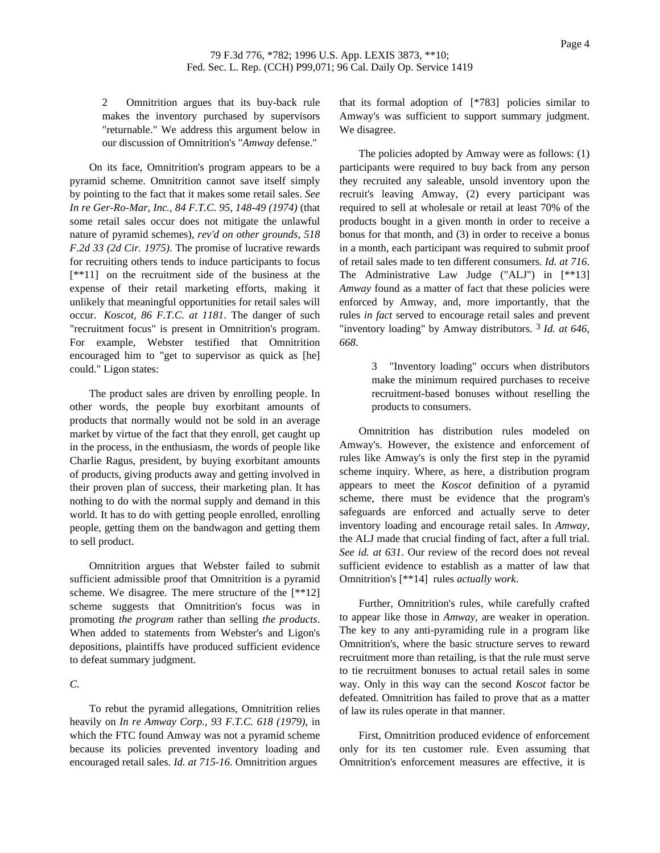2 Omnitrition argues that its buy-back rule makes the inventory purchased by supervisors "returnable." We address this argument below in our discussion of Omnitrition's "*Amway* defense."

On its face, Omnitrition's program appears to be a pyramid scheme. Omnitrition cannot save itself simply by pointing to the fact that it makes some retail sales. *See In re Ger-Ro-Mar, Inc., 84 F.T.C. 95, 148-49 (1974)* (that some retail sales occur does not mitigate the unlawful nature of pyramid schemes), *rev'd on other grounds, 518 F.2d 33 (2d Cir. 1975)*. The promise of lucrative rewards for recruiting others tends to induce participants to focus [\*\*11] on the recruitment side of the business at the expense of their retail marketing efforts, making it unlikely that meaningful opportunities for retail sales will occur. *Koscot, 86 F.T.C. at 1181*. The danger of such "recruitment focus" is present in Omnitrition's program. For example, Webster testified that Omnitrition encouraged him to "get to supervisor as quick as [he] could." Ligon states:

The product sales are driven by enrolling people. In other words, the people buy exorbitant amounts of products that normally would not be sold in an average market by virtue of the fact that they enroll, get caught up in the process, in the enthusiasm, the words of people like Charlie Ragus, president, by buying exorbitant amounts of products, giving products away and getting involved in their proven plan of success, their marketing plan. It has nothing to do with the normal supply and demand in this world. It has to do with getting people enrolled, enrolling people, getting them on the bandwagon and getting them to sell product.

Omnitrition argues that Webster failed to submit sufficient admissible proof that Omnitrition is a pyramid scheme. We disagree. The mere structure of the [\*\*12] scheme suggests that Omnitrition's focus was in promoting *the program* rather than selling *the products*. When added to statements from Webster's and Ligon's depositions, plaintiffs have produced sufficient evidence to defeat summary judgment.

### *C.*

To rebut the pyramid allegations, Omnitrition relies heavily on *In re Amway Corp., 93 F.T.C. 618 (1979)*, in which the FTC found Amway was not a pyramid scheme because its policies prevented inventory loading and encouraged retail sales. *Id. at 715-16*. Omnitrition argues

that its formal adoption of [\*783] policies similar to Amway's was sufficient to support summary judgment. We disagree.

The policies adopted by Amway were as follows: (1) participants were required to buy back from any person they recruited any saleable, unsold inventory upon the recruit's leaving Amway, (2) every participant was required to sell at wholesale or retail at least 70% of the products bought in a given month in order to receive a bonus for that month, and (3) in order to receive a bonus in a month, each participant was required to submit proof of retail sales made to ten different consumers. *Id. at 716*. The Administrative Law Judge ("ALJ") in [\*\*13] *Amway* found as a matter of fact that these policies were enforced by Amway, and, more importantly, that the rules *in fact* served to encourage retail sales and prevent "inventory loading" by Amway distributors. 3 *Id. at 646, 668*.

> "Inventory loading" occurs when distributors make the minimum required purchases to receive recruitment-based bonuses without reselling the products to consumers.

Omnitrition has distribution rules modeled on Amway's. However, the existence and enforcement of rules like Amway's is only the first step in the pyramid scheme inquiry. Where, as here, a distribution program appears to meet the *Koscot* definition of a pyramid scheme, there must be evidence that the program's safeguards are enforced and actually serve to deter inventory loading and encourage retail sales. In *Amway,* the ALJ made that crucial finding of fact, after a full trial. *See id. at 631*. Our review of the record does not reveal sufficient evidence to establish as a matter of law that Omnitrition's [\*\*14] rules *actually work*.

Further, Omnitrition's rules, while carefully crafted to appear like those in *Amway,* are weaker in operation. The key to any anti-pyramiding rule in a program like Omnitrition's, where the basic structure serves to reward recruitment more than retailing, is that the rule must serve to tie recruitment bonuses to actual retail sales in some way. Only in this way can the second *Koscot* factor be defeated. Omnitrition has failed to prove that as a matter of law its rules operate in that manner.

First, Omnitrition produced evidence of enforcement only for its ten customer rule. Even assuming that Omnitrition's enforcement measures are effective, it is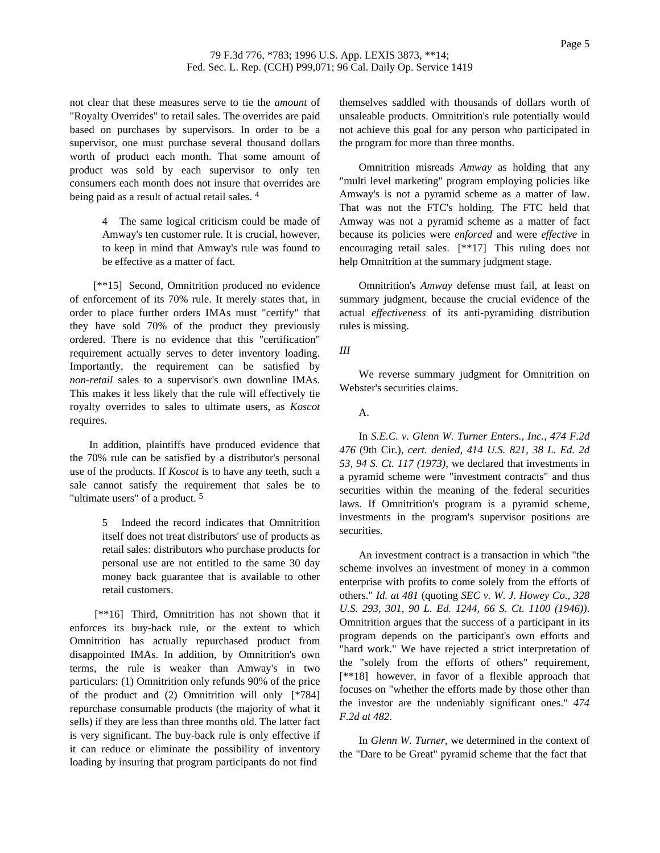not clear that these measures serve to tie the *amount* of "Royalty Overrides" to retail sales. The overrides are paid based on purchases by supervisors. In order to be a supervisor, one must purchase several thousand dollars worth of product each month. That some amount of product was sold by each supervisor to only ten consumers each month does not insure that overrides are being paid as a result of actual retail sales. 4

> 4 The same logical criticism could be made of Amway's ten customer rule. It is crucial, however, to keep in mind that Amway's rule was found to be effective as a matter of fact.

[\*\*15] Second, Omnitrition produced no evidence of enforcement of its 70% rule. It merely states that, in order to place further orders IMAs must "certify" that they have sold 70% of the product they previously ordered. There is no evidence that this "certification" requirement actually serves to deter inventory loading. Importantly, the requirement can be satisfied by *non-retail* sales to a supervisor's own downline IMAs. This makes it less likely that the rule will effectively tie royalty overrides to sales to ultimate users, as *Koscot* requires.

In addition, plaintiffs have produced evidence that the 70% rule can be satisfied by a distributor's personal use of the products. If *Koscot* is to have any teeth, such a sale cannot satisfy the requirement that sales be to "ultimate users" of a product. 5

> 5 Indeed the record indicates that Omnitrition itself does not treat distributors' use of products as retail sales: distributors who purchase products for personal use are not entitled to the same 30 day money back guarantee that is available to other retail customers.

[\*\*16] Third, Omnitrition has not shown that it enforces its buy-back rule, or the extent to which Omnitrition has actually repurchased product from disappointed IMAs. In addition, by Omnitrition's own terms, the rule is weaker than Amway's in two particulars: (1) Omnitrition only refunds 90% of the price of the product and (2) Omnitrition will only [\*784] repurchase consumable products (the majority of what it sells) if they are less than three months old. The latter fact is very significant. The buy-back rule is only effective if it can reduce or eliminate the possibility of inventory loading by insuring that program participants do not find

themselves saddled with thousands of dollars worth of unsaleable products. Omnitrition's rule potentially would not achieve this goal for any person who participated in the program for more than three months.

Omnitrition misreads *Amway* as holding that any "multi level marketing" program employing policies like Amway's is not a pyramid scheme as a matter of law. That was not the FTC's holding. The FTC held that Amway was not a pyramid scheme as a matter of fact because its policies were *enforced* and were *effective* in encouraging retail sales. [\*\*17] This ruling does not help Omnitrition at the summary judgment stage.

Omnitrition's *Amway* defense must fail, at least on summary judgment, because the crucial evidence of the actual *effectiveness* of its anti-pyramiding distribution rules is missing.

## *III*

We reverse summary judgment for Omnitrition on Webster's securities claims.

A.

In *S.E.C. v. Glenn W. Turner Enters., Inc., 474 F.2d 476* (9th Cir.), *cert. denied, 414 U.S. 821, 38 L. Ed. 2d 53, 94 S. Ct. 117 (1973)*, we declared that investments in a pyramid scheme were "investment contracts" and thus securities within the meaning of the federal securities laws. If Omnitrition's program is a pyramid scheme, investments in the program's supervisor positions are securities.

An investment contract is a transaction in which "the scheme involves an investment of money in a common enterprise with profits to come solely from the efforts of others." *Id. at 481* (quoting *SEC v. W. J. Howey Co., 328 U.S. 293, 301, 90 L. Ed. 1244, 66 S. Ct. 1100 (1946))*. Omnitrition argues that the success of a participant in its program depends on the participant's own efforts and "hard work." We have rejected a strict interpretation of the "solely from the efforts of others" requirement, [\*\*18] however, in favor of a flexible approach that focuses on "whether the efforts made by those other than the investor are the undeniably significant ones." *474 F.2d at 482*.

In *Glenn W. Turner,* we determined in the context of the "Dare to be Great" pyramid scheme that the fact that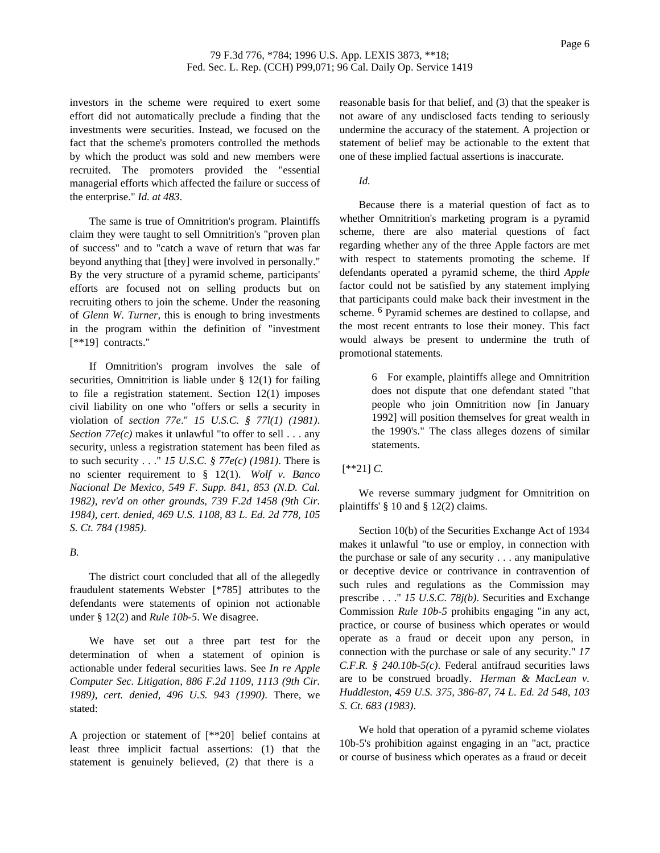investors in the scheme were required to exert some effort did not automatically preclude a finding that the investments were securities. Instead, we focused on the fact that the scheme's promoters controlled the methods by which the product was sold and new members were recruited. The promoters provided the "essential managerial efforts which affected the failure or success of the enterprise." *Id. at 483*.

The same is true of Omnitrition's program. Plaintiffs claim they were taught to sell Omnitrition's "proven plan of success" and to "catch a wave of return that was far beyond anything that [they] were involved in personally." By the very structure of a pyramid scheme, participants' efforts are focused not on selling products but on recruiting others to join the scheme. Under the reasoning of *Glenn W. Turner,* this is enough to bring investments in the program within the definition of "investment [\*\*19] contracts."

If Omnitrition's program involves the sale of securities, Omnitrition is liable under  $\S$  12(1) for failing to file a registration statement. Section 12(1) imposes civil liability on one who "offers or sells a security in violation of *section 77e*." *15 U.S.C. § 77l(1) (1981)*. *Section 77e(c)* makes it unlawful "to offer to sell . . . any security, unless a registration statement has been filed as to such security . . ." *15 U.S.C. § 77e(c) (1981)*. There is no scienter requirement to § 12(1). *Wolf v. Banco Nacional De Mexico, 549 F. Supp. 841, 853 (N.D. Cal. 1982)*, *rev'd on other grounds, 739 F.2d 1458 (9th Cir. 1984)*, *cert. denied, 469 U.S. 1108, 83 L. Ed. 2d 778, 105 S. Ct. 784 (1985)*.

# *B.*

The district court concluded that all of the allegedly fraudulent statements Webster [\*785] attributes to the defendants were statements of opinion not actionable under § 12(2) and *Rule 10b-5*. We disagree.

We have set out a three part test for the determination of when a statement of opinion is actionable under federal securities laws. See *In re Apple Computer Sec. Litigation, 886 F.2d 1109, 1113 (9th Cir. 1989)*, *cert. denied, 496 U.S. 943 (1990)*. There, we stated:

A projection or statement of [\*\*20] belief contains at least three implicit factual assertions: (1) that the statement is genuinely believed, (2) that there is a

reasonable basis for that belief, and (3) that the speaker is not aware of any undisclosed facts tending to seriously undermine the accuracy of the statement. A projection or statement of belief may be actionable to the extent that one of these implied factual assertions is inaccurate.

#### *Id.*

Because there is a material question of fact as to whether Omnitrition's marketing program is a pyramid scheme, there are also material questions of fact regarding whether any of the three Apple factors are met with respect to statements promoting the scheme. If defendants operated a pyramid scheme, the third *Apple* factor could not be satisfied by any statement implying that participants could make back their investment in the scheme. 6 Pyramid schemes are destined to collapse, and the most recent entrants to lose their money. This fact would always be present to undermine the truth of promotional statements.

> 6 For example, plaintiffs allege and Omnitrition does not dispute that one defendant stated "that people who join Omnitrition now [in January 1992] will position themselves for great wealth in the 1990's." The class alleges dozens of similar statements.

## [\*\*21] *C.*

We reverse summary judgment for Omnitrition on plaintiffs' § 10 and § 12(2) claims.

Section 10(b) of the Securities Exchange Act of 1934 makes it unlawful "to use or employ, in connection with the purchase or sale of any security . . . any manipulative or deceptive device or contrivance in contravention of such rules and regulations as the Commission may prescribe . . ." *15 U.S.C. 78j(b)*. Securities and Exchange Commission *Rule 10b-5* prohibits engaging "in any act, practice, or course of business which operates or would operate as a fraud or deceit upon any person, in connection with the purchase or sale of any security." *17 C.F.R. § 240.10b-5(c)*. Federal antifraud securities laws are to be construed broadly. *Herman & MacLean v. Huddleston, 459 U.S. 375, 386-87, 74 L. Ed. 2d 548, 103 S. Ct. 683 (1983)*.

We hold that operation of a pyramid scheme violates 10b-5's prohibition against engaging in an "act, practice or course of business which operates as a fraud or deceit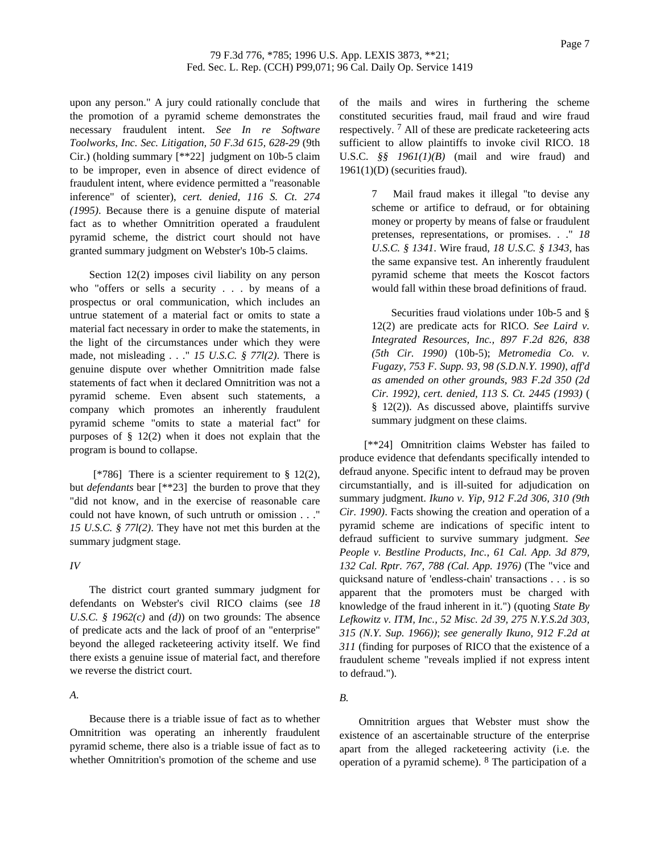upon any person." A jury could rationally conclude that the promotion of a pyramid scheme demonstrates the necessary fraudulent intent. *See In re Software Toolworks, Inc. Sec. Litigation, 50 F.3d 615, 628-29* (9th Cir.) (holding summary [\*\*22] judgment on 10b-5 claim to be improper, even in absence of direct evidence of fraudulent intent, where evidence permitted a "reasonable inference" of scienter), *cert. denied, 116 S. Ct. 274 (1995)*. Because there is a genuine dispute of material fact as to whether Omnitrition operated a fraudulent pyramid scheme, the district court should not have granted summary judgment on Webster's 10b-5 claims.

Section 12(2) imposes civil liability on any person who "offers or sells a security . . . by means of a prospectus or oral communication, which includes an untrue statement of a material fact or omits to state a material fact necessary in order to make the statements, in the light of the circumstances under which they were made, not misleading . . ." *15 U.S.C. § 77l(2)*. There is genuine dispute over whether Omnitrition made false statements of fact when it declared Omnitrition was not a pyramid scheme. Even absent such statements, a company which promotes an inherently fraudulent pyramid scheme "omits to state a material fact" for purposes of § 12(2) when it does not explain that the program is bound to collapse.

[\*786] There is a scienter requirement to  $\S$  12(2), but *defendants* bear [\*\*23] the burden to prove that they "did not know, and in the exercise of reasonable care could not have known, of such untruth or omission . . ." *15 U.S.C. § 77l(2)*. They have not met this burden at the summary judgment stage.

#### *IV*

The district court granted summary judgment for defendants on Webster's civil RICO claims (see *18 U.S.C. § 1962(c)* and *(d)*) on two grounds: The absence of predicate acts and the lack of proof of an "enterprise" beyond the alleged racketeering activity itself. We find there exists a genuine issue of material fact, and therefore we reverse the district court.

### *A.*

Because there is a triable issue of fact as to whether Omnitrition was operating an inherently fraudulent pyramid scheme, there also is a triable issue of fact as to whether Omnitrition's promotion of the scheme and use

of the mails and wires in furthering the scheme constituted securities fraud, mail fraud and wire fraud respectively. 7 All of these are predicate racketeering acts sufficient to allow plaintiffs to invoke civil RICO. 18 U.S.C. *§§ 1961(1)(B)* (mail and wire fraud) and  $1961(1)(D)$  (securities fraud).

> 7 Mail fraud makes it illegal "to devise any scheme or artifice to defraud, or for obtaining money or property by means of false or fraudulent pretenses, representations, or promises. . ." *18 U.S.C. § 1341*. Wire fraud, *18 U.S.C. § 1343*, has the same expansive test. An inherently fraudulent pyramid scheme that meets the Koscot factors would fall within these broad definitions of fraud.

> Securities fraud violations under 10b-5 and § 12(2) are predicate acts for RICO. *See Laird v. Integrated Resources, Inc., 897 F.2d 826, 838 (5th Cir. 1990)* (10b-5); *Metromedia Co. v. Fugazy, 753 F. Supp. 93, 98 (S.D.N.Y. 1990)*, *aff'd as amended on other grounds, 983 F.2d 350 (2d Cir. 1992)*, *cert. denied, 113 S. Ct. 2445 (1993)* ( § 12(2)). As discussed above, plaintiffs survive summary judgment on these claims.

[\*\*24] Omnitrition claims Webster has failed to produce evidence that defendants specifically intended to defraud anyone. Specific intent to defraud may be proven circumstantially, and is ill-suited for adjudication on summary judgment. *Ikuno v. Yip, 912 F.2d 306, 310 (9th Cir. 1990)*. Facts showing the creation and operation of a pyramid scheme are indications of specific intent to defraud sufficient to survive summary judgment. *See People v. Bestline Products, Inc., 61 Cal. App. 3d 879, 132 Cal. Rptr. 767, 788 (Cal. App. 1976)* (The "vice and quicksand nature of 'endless-chain' transactions . . . is so apparent that the promoters must be charged with knowledge of the fraud inherent in it.") (quoting *State By Lefkowitz v. ITM, Inc., 52 Misc. 2d 39, 275 N.Y.S.2d 303, 315 (N.Y. Sup. 1966))*; *see generally Ikuno, 912 F.2d at 311* (finding for purposes of RICO that the existence of a fraudulent scheme "reveals implied if not express intent to defraud.").

### *B.*

Omnitrition argues that Webster must show the existence of an ascertainable structure of the enterprise apart from the alleged racketeering activity (i.e. the operation of a pyramid scheme). 8 The participation of a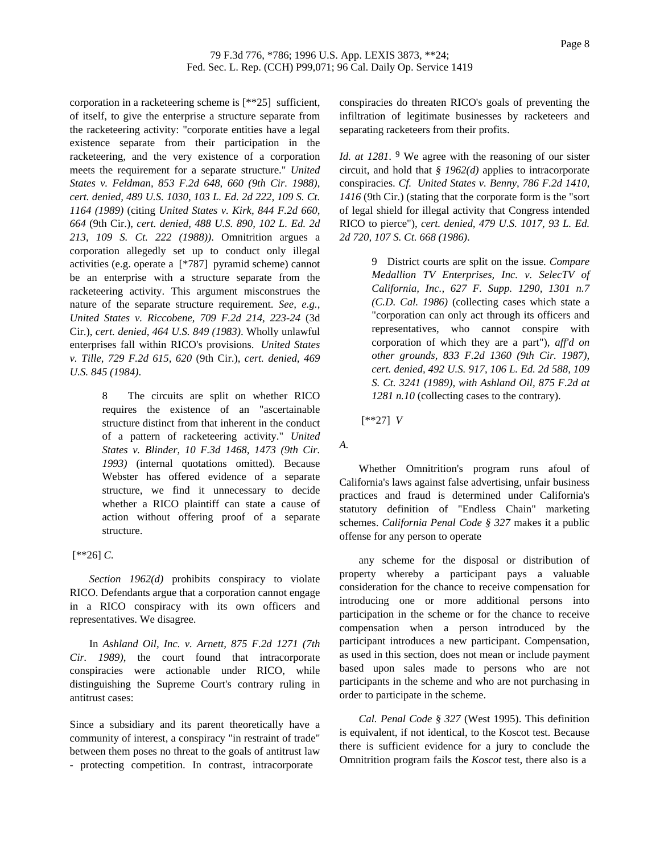corporation in a racketeering scheme is [\*\*25] sufficient, of itself, to give the enterprise a structure separate from the racketeering activity: "corporate entities have a legal existence separate from their participation in the racketeering, and the very existence of a corporation meets the requirement for a separate structure." *United States v. Feldman, 853 F.2d 648, 660 (9th Cir. 1988)*, *cert. denied, 489 U.S. 1030, 103 L. Ed. 2d 222, 109 S. Ct. 1164 (1989)* (citing *United States v. Kirk, 844 F.2d 660, 664* (9th Cir.), *cert. denied, 488 U.S. 890, 102 L. Ed. 2d 213, 109 S. Ct. 222 (1988))*. Omnitrition argues a corporation allegedly set up to conduct only illegal activities (e.g. operate a [\*787] pyramid scheme) cannot be an enterprise with a structure separate from the racketeering activity. This argument misconstrues the nature of the separate structure requirement. *See, e.g., United States v. Riccobene, 709 F.2d 214, 223-24* (3d Cir.), *cert. denied, 464 U.S. 849 (1983)*. Wholly unlawful enterprises fall within RICO's provisions. *United States v. Tille, 729 F.2d 615, 620* (9th Cir.), *cert. denied, 469 U.S. 845 (1984)*.

> 8 The circuits are split on whether RICO requires the existence of an "ascertainable structure distinct from that inherent in the conduct of a pattern of racketeering activity." *United States v. Blinder, 10 F.3d 1468, 1473 (9th Cir. 1993)* (internal quotations omitted). Because Webster has offered evidence of a separate structure, we find it unnecessary to decide whether a RICO plaintiff can state a cause of action without offering proof of a separate structure.

*Section 1962(d)* prohibits conspiracy to violate RICO. Defendants argue that a corporation cannot engage in a RICO conspiracy with its own officers and representatives. We disagree.

In *Ashland Oil, Inc. v. Arnett, 875 F.2d 1271 (7th Cir. 1989)*, the court found that intracorporate conspiracies were actionable under RICO, while distinguishing the Supreme Court's contrary ruling in antitrust cases:

Since a subsidiary and its parent theoretically have a community of interest, a conspiracy "in restraint of trade" between them poses no threat to the goals of antitrust law - protecting competition. In contrast, intracorporate

conspiracies do threaten RICO's goals of preventing the infiltration of legitimate businesses by racketeers and separating racketeers from their profits.

Id. at 1281. <sup>9</sup> We agree with the reasoning of our sister circuit, and hold that *§ 1962(d)* applies to intracorporate conspiracies. *Cf. United States v. Benny, 786 F.2d 1410, 1416* (9th Cir.) (stating that the corporate form is the "sort of legal shield for illegal activity that Congress intended RICO to pierce"), *cert. denied, 479 U.S. 1017, 93 L. Ed. 2d 720, 107 S. Ct. 668 (1986)*.

> 9 District courts are split on the issue. *Compare Medallion TV Enterprises, Inc. v. SelecTV of California, Inc., 627 F. Supp. 1290, 1301 n.7 (C.D. Cal. 1986)* (collecting cases which state a "corporation can only act through its officers and representatives, who cannot conspire with corporation of which they are a part"), *aff'd on other grounds, 833 F.2d 1360 (9th Cir. 1987)*, *cert. denied, 492 U.S. 917, 106 L. Ed. 2d 588, 109 S. Ct. 3241 (1989)*, *with Ashland Oil, 875 F.2d at 1281 n.10* (collecting cases to the contrary).

[\*\*27] *V*

*A.*

Whether Omnitrition's program runs afoul of California's laws against false advertising, unfair business practices and fraud is determined under California's statutory definition of "Endless Chain" marketing schemes. *California Penal Code § 327* makes it a public offense for any person to operate

any scheme for the disposal or distribution of property whereby a participant pays a valuable consideration for the chance to receive compensation for introducing one or more additional persons into participation in the scheme or for the chance to receive compensation when a person introduced by the participant introduces a new participant. Compensation, as used in this section, does not mean or include payment based upon sales made to persons who are not participants in the scheme and who are not purchasing in order to participate in the scheme.

*Cal. Penal Code § 327* (West 1995). This definition is equivalent, if not identical, to the Koscot test. Because there is sufficient evidence for a jury to conclude the Omnitrition program fails the *Koscot* test, there also is a

<sup>[\*\*26]</sup> *C.*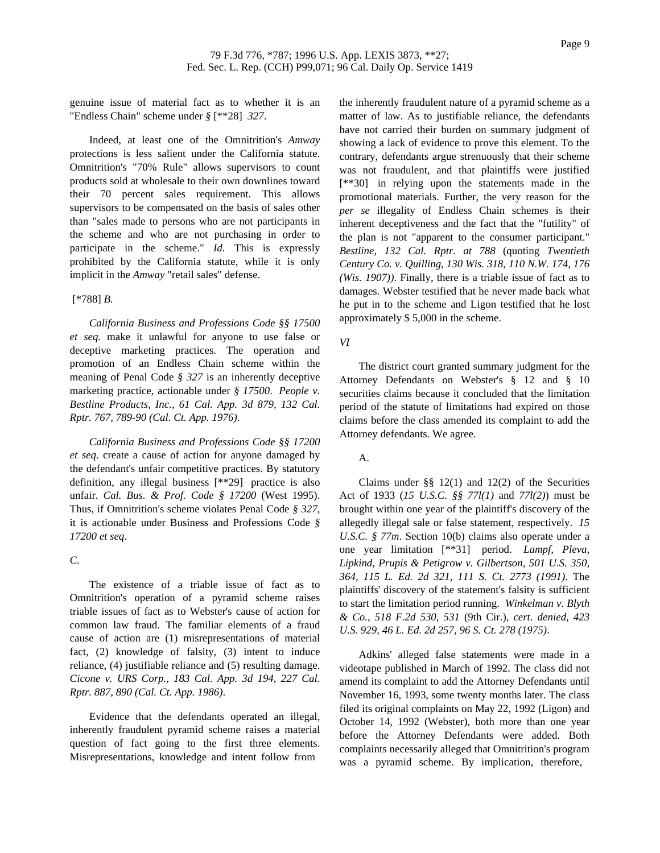genuine issue of material fact as to whether it is an "Endless Chain" scheme under *§* [\*\*28] *327*.

Indeed, at least one of the Omnitrition's *Amway* protections is less salient under the California statute. Omnitrition's "70% Rule" allows supervisors to count products sold at wholesale to their own downlines toward their 70 percent sales requirement. This allows supervisors to be compensated on the basis of sales other than "sales made to persons who are not participants in the scheme and who are not purchasing in order to participate in the scheme." *Id.* This is expressly prohibited by the California statute, while it is only implicit in the *Amway* "retail sales" defense.

#### [\*788] *B.*

*California Business and Professions Code §§ 17500 et seq.* make it unlawful for anyone to use false or deceptive marketing practices. The operation and promotion of an Endless Chain scheme within the meaning of Penal Code *§ 327* is an inherently deceptive marketing practice, actionable under *§ 17500*. *People v. Bestline Products, Inc., 61 Cal. App. 3d 879, 132 Cal. Rptr. 767, 789-90 (Cal. Ct. App. 1976)*.

*California Business and Professions Code §§ 17200 et seq*. create a cause of action for anyone damaged by the defendant's unfair competitive practices. By statutory definition, any illegal business [\*\*29] practice is also unfair. *Cal. Bus. & Prof. Code § 17200* (West 1995). Thus, if Omnitrition's scheme violates Penal Code *§ 327*, it is actionable under Business and Professions Code *§ 17200 et seq*.

#### *C.*

The existence of a triable issue of fact as to Omnitrition's operation of a pyramid scheme raises triable issues of fact as to Webster's cause of action for common law fraud. The familiar elements of a fraud cause of action are (1) misrepresentations of material fact, (2) knowledge of falsity, (3) intent to induce reliance, (4) justifiable reliance and (5) resulting damage. *Cicone v. URS Corp., 183 Cal. App. 3d 194, 227 Cal. Rptr. 887, 890 (Cal. Ct. App. 1986)*.

Evidence that the defendants operated an illegal, inherently fraudulent pyramid scheme raises a material question of fact going to the first three elements. Misrepresentations, knowledge and intent follow from

the inherently fraudulent nature of a pyramid scheme as a matter of law. As to justifiable reliance, the defendants have not carried their burden on summary judgment of showing a lack of evidence to prove this element. To the contrary, defendants argue strenuously that their scheme was not fraudulent, and that plaintiffs were justified [\*\*30] in relying upon the statements made in the promotional materials. Further, the very reason for the *per se* illegality of Endless Chain schemes is their inherent deceptiveness and the fact that the "futility" of the plan is not "apparent to the consumer participant." *Bestline, 132 Cal. Rptr. at 788* (quoting *Twentieth Century Co. v. Quilling, 130 Wis. 318, 110 N.W. 174, 176 (Wis. 1907))*. Finally, there is a triable issue of fact as to damages. Webster testified that he never made back what he put in to the scheme and Ligon testified that he lost approximately \$ 5,000 in the scheme.

#### *VI*

The district court granted summary judgment for the Attorney Defendants on Webster's § 12 and § 10 securities claims because it concluded that the limitation period of the statute of limitations had expired on those claims before the class amended its complaint to add the Attorney defendants. We agree.

### A.

Claims under  $\S$ § 12(1) and 12(2) of the Securities Act of 1933 (*15 U.S.C. §§ 77l(1)* and *77l(2)*) must be brought within one year of the plaintiff's discovery of the allegedly illegal sale or false statement, respectively. *15 U.S.C. § 77m*. Section 10(b) claims also operate under a one year limitation [\*\*31] period. *Lampf, Pleva, Lipkind, Prupis & Petigrow v. Gilbertson, 501 U.S. 350, 364, 115 L. Ed. 2d 321, 111 S. Ct. 2773 (1991)*. The plaintiffs' discovery of the statement's falsity is sufficient to start the limitation period running. *Winkelman v. Blyth & Co., 518 F.2d 530, 531* (9th Cir.), *cert. denied, 423 U.S. 929, 46 L. Ed. 2d 257, 96 S. Ct. 278 (1975)*.

Adkins' alleged false statements were made in a videotape published in March of 1992. The class did not amend its complaint to add the Attorney Defendants until November 16, 1993, some twenty months later. The class filed its original complaints on May 22, 1992 (Ligon) and October 14, 1992 (Webster), both more than one year before the Attorney Defendants were added. Both complaints necessarily alleged that Omnitrition's program was a pyramid scheme. By implication, therefore,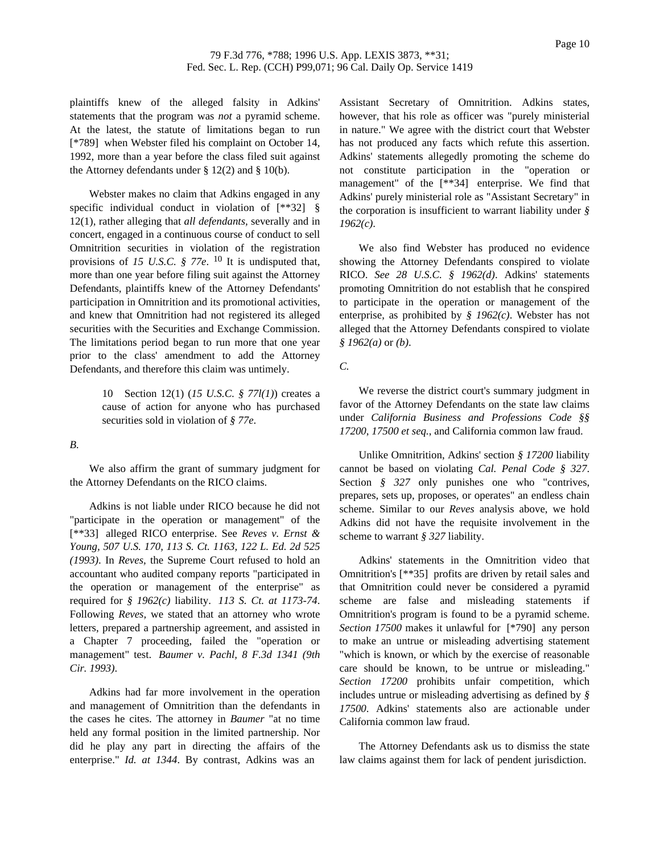plaintiffs knew of the alleged falsity in Adkins' statements that the program was *not* a pyramid scheme. At the latest, the statute of limitations began to run [\*789] when Webster filed his complaint on October 14, 1992, more than a year before the class filed suit against the Attorney defendants under  $\S 12(2)$  and  $\S 10(b)$ .

Webster makes no claim that Adkins engaged in any specific individual conduct in violation of [\*\*32] § 12(1), rather alleging that *all defendants,* severally and in concert, engaged in a continuous course of conduct to sell Omnitrition securities in violation of the registration provisions of *15 U.S.C. § 77e*. 10 It is undisputed that, more than one year before filing suit against the Attorney Defendants, plaintiffs knew of the Attorney Defendants' participation in Omnitrition and its promotional activities, and knew that Omnitrition had not registered its alleged securities with the Securities and Exchange Commission. The limitations period began to run more that one year prior to the class' amendment to add the Attorney Defendants, and therefore this claim was untimely.

> 10 Section 12(1) (*15 U.S.C. § 77l(1)*) creates a cause of action for anyone who has purchased securities sold in violation of *§ 77e*.

# *B.*

We also affirm the grant of summary judgment for the Attorney Defendants on the RICO claims.

Adkins is not liable under RICO because he did not "participate in the operation or management" of the [\*\*33] alleged RICO enterprise. See *Reves v. Ernst & Young, 507 U.S. 170, 113 S. Ct. 1163, 122 L. Ed. 2d 525 (1993)*. In *Reves,* the Supreme Court refused to hold an accountant who audited company reports "participated in the operation or management of the enterprise" as required for *§ 1962(c)* liability. *113 S. Ct. at 1173-74*. Following *Reves,* we stated that an attorney who wrote letters, prepared a partnership agreement, and assisted in a Chapter 7 proceeding, failed the "operation or management" test. *Baumer v. Pachl, 8 F.3d 1341 (9th Cir. 1993)*.

Adkins had far more involvement in the operation and management of Omnitrition than the defendants in the cases he cites. The attorney in *Baumer* "at no time held any formal position in the limited partnership. Nor did he play any part in directing the affairs of the enterprise." *Id. at 1344*. By contrast, Adkins was an

Assistant Secretary of Omnitrition. Adkins states, however, that his role as officer was "purely ministerial in nature." We agree with the district court that Webster has not produced any facts which refute this assertion. Adkins' statements allegedly promoting the scheme do not constitute participation in the "operation or management" of the [\*\*34] enterprise. We find that Adkins' purely ministerial role as "Assistant Secretary" in the corporation is insufficient to warrant liability under *§ 1962(c)*.

We also find Webster has produced no evidence showing the Attorney Defendants conspired to violate RICO. *See 28 U.S.C. § 1962(d)*. Adkins' statements promoting Omnitrition do not establish that he conspired to participate in the operation or management of the enterprise, as prohibited by *§ 1962(c)*. Webster has not alleged that the Attorney Defendants conspired to violate *§ 1962(a)* or *(b)*.

*C.*

We reverse the district court's summary judgment in favor of the Attorney Defendants on the state law claims under *California Business and Professions Code §§ 17200*, *17500 et seq.*, and California common law fraud.

Unlike Omnitrition, Adkins' section *§ 17200* liability cannot be based on violating *Cal. Penal Code § 327*. Section *§ 327* only punishes one who "contrives, prepares, sets up, proposes, or operates" an endless chain scheme. Similar to our *Reves* analysis above, we hold Adkins did not have the requisite involvement in the scheme to warrant *§ 327* liability.

Adkins' statements in the Omnitrition video that Omnitrition's [\*\*35] profits are driven by retail sales and that Omnitrition could never be considered a pyramid scheme are false and misleading statements if Omnitrition's program is found to be a pyramid scheme. *Section 17500* makes it unlawful for [\*790] any person to make an untrue or misleading advertising statement "which is known, or which by the exercise of reasonable care should be known, to be untrue or misleading." *Section 17200* prohibits unfair competition, which includes untrue or misleading advertising as defined by *§ 17500*. Adkins' statements also are actionable under California common law fraud.

The Attorney Defendants ask us to dismiss the state law claims against them for lack of pendent jurisdiction.